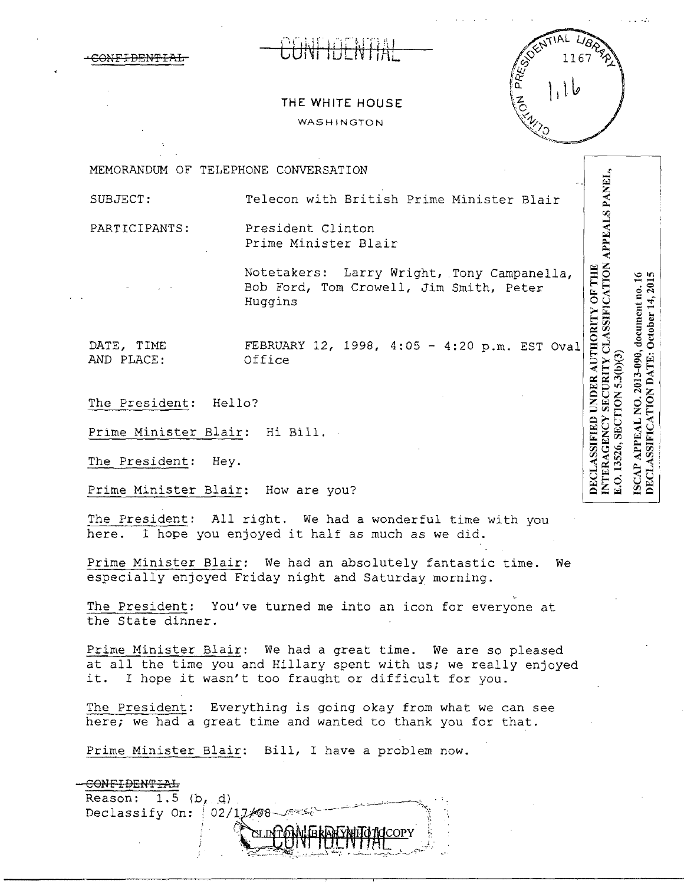# CONFIDENTIAL CONTIDENTIAL



NTERAGENCY SECURITY CLASSIFICATION APPEALS PANEL,

E.O. 13526, SECTION 5.3(b)(3)

ISCAP APPEAL NO. 2013-090, document no. 16<br>DECLASSIFICATION DATE: October 14, 2015

## **THE WHITE HOUSE**  WASHINGTON

MEMORANDUM OF TELEPHONE CONVERSATION

SUBJECT: Telecon with British Prime Minister Blair

PARTICIPANTS: President Clinton Prime Minister Blair

> Notetakers: Larry Wright, Tony Campanella, Bob Ford, Tom Crowell, Jim Smith, Peter Huggins

AND PLACE:

**DECLASSIFIED UNDER AUTHORITY OF THE** DATE, TIME FEBRUARY 12, 1998, 4:05 - 4:20 p.m. EST Oval<br>AND PLACE: 0ffice

The President: Hello?

Prime Minister Blair: Hi Bill.

The President: Hey.

Prime Minister Blair: How are you?

The President: All right. We had a wonderful time with you here. I hope you enjoyed it half as much as we *did.* 

Prime Minister Blair: We had an absolutely fantastic time. We especially enjoyed Friday night and Saturday morning.

The President: You've turned me into an icon for everyone at the State dinner.

Prime Minister Blair: We had a great time. We are so pleased at all the time you and Hillary spent with us; we really enjoyed it. I hope it wasn't too fraught or difficult for you.

The President: Everything is going okay from what we can see here; we had a great time and wanted to thank you for that.

Prime Minister Blair: Bill, I have a problem now.

#### -CONFIDENTIAL

Reason: 1.5 (b, d)<br>Declassify On: 02/17/08 Declassify on, 02/2000 or of the property of the property of the property of the property of the second of the contractor of the second of the second of the second of the second of the second of the second of the second of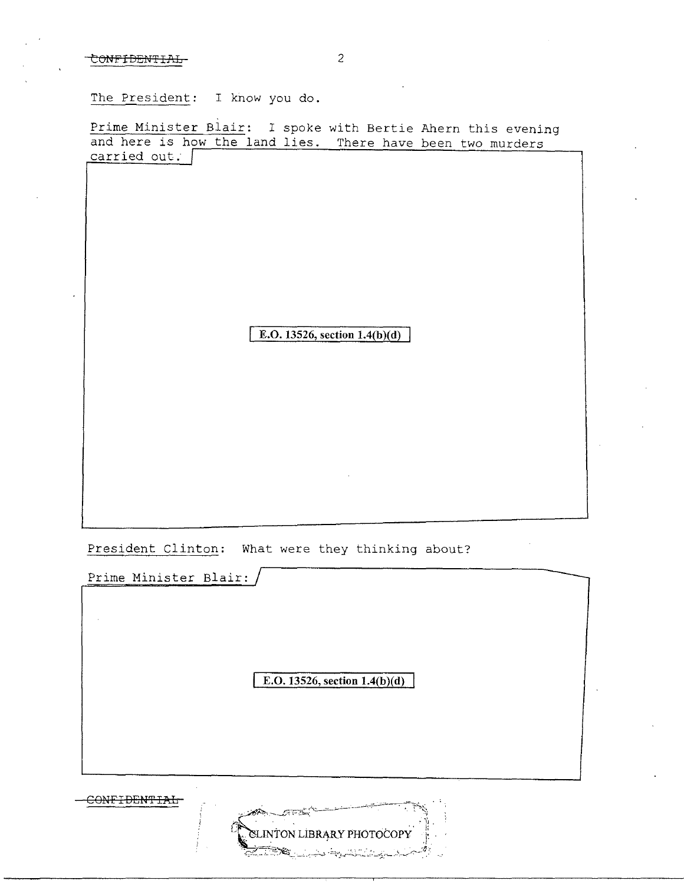### CONFIDENTIAL2

The President: I know you do.

Prime Minister Blair: I spoke with Bertie Ahern this evening and here is how the land lies. There have been two murders carried out.

**E.O. 13526, section 1.4(b)(d)** 

President Clinton: What were they thinking about?

Prime Minister Blair:

**E.O. 13526, section 1.4(b)(d)** 

CONFIDENTIAL

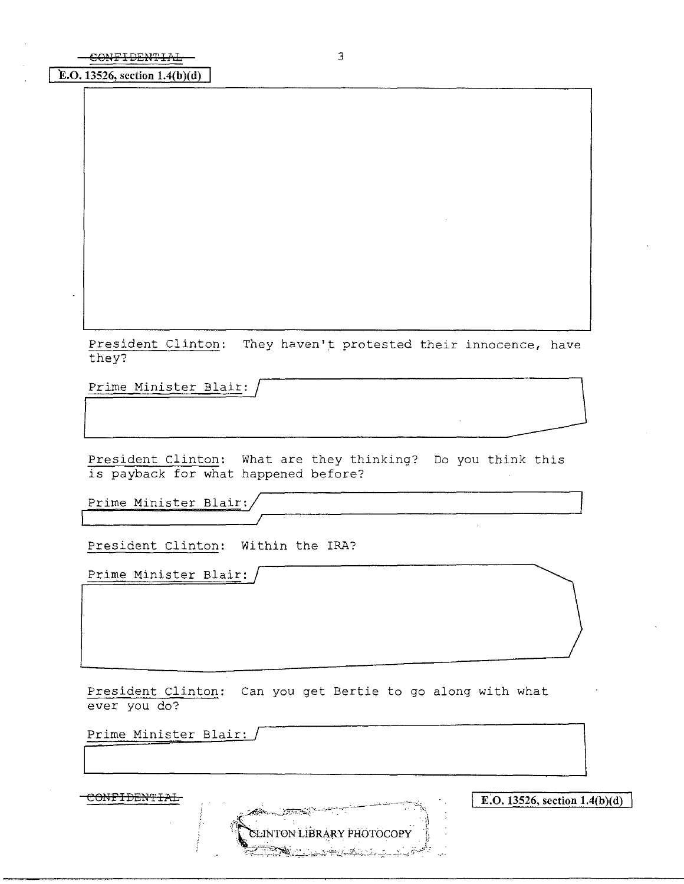**E.O. 13526, section 1.4(b)(d)** 

President Clinton: They haven't protested their innocence, have<br>they?<br>Prime Minister Blair: / they? President Clinton: They haven't protested their innocence, have<br>
Prime Minister Blair: /<br>
President Clinton: What are they thinking? Do you think this

President Clinton: What are they thinking? Do you think this is payback for what happened before?

Prime Minister Blair:

President Clinton: Within the IRA?

Prime Minister Blair:

President Clinton: Can you get Bertie to go along with what ever you do?

Prime Minister Blair:

CONFIDENTIAL **E.O.** 13526, section 1.4(b)(d) SLINTON LIBRARY PHOTOCOPY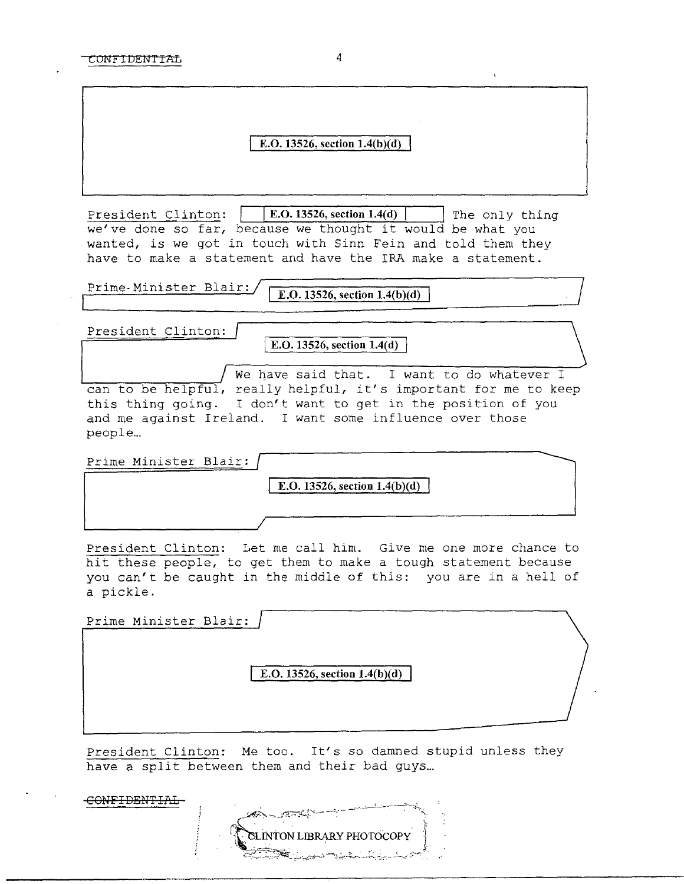#### **E.O. 13526, section 1.4(b)(d)**

President Clinton: | | E.O. 13526, section 1.4(d) | | The only thing we've done so far, because we thought it would be what you wanted, is we got in touch with Sinn Fein and told them they have to make a statement and have the IRA make a statement.

**E.O.** 13526, section  $1.4(b)(d)$ Prime-Minister Blair:

President Clinton:

I **E.O. 13526, section 1.4(d)** )

We have said that. I want to do whatever I can to be helpful, really helpful, it's important for me to keep this thing going. I don't want to get in the position of you and me against Ireland. I want some influence over those people...

Prime Minister Blair:

**E.O.** 13526, section 1.4(b)(d)

President Clinton: Let me call him. Give me one more chance to hit these people, to get them to make a tough statement because you can't be caught in the middle of this: you are in a hell of a pickle.

| Prime Minister Blair: |                                 |
|-----------------------|---------------------------------|
|                       |                                 |
|                       | E.O. 13526, section $1.4(b)(d)$ |
|                       |                                 |

President Clinton: Me too. It's so damned stupid unless they have a split between them and their bad guys...